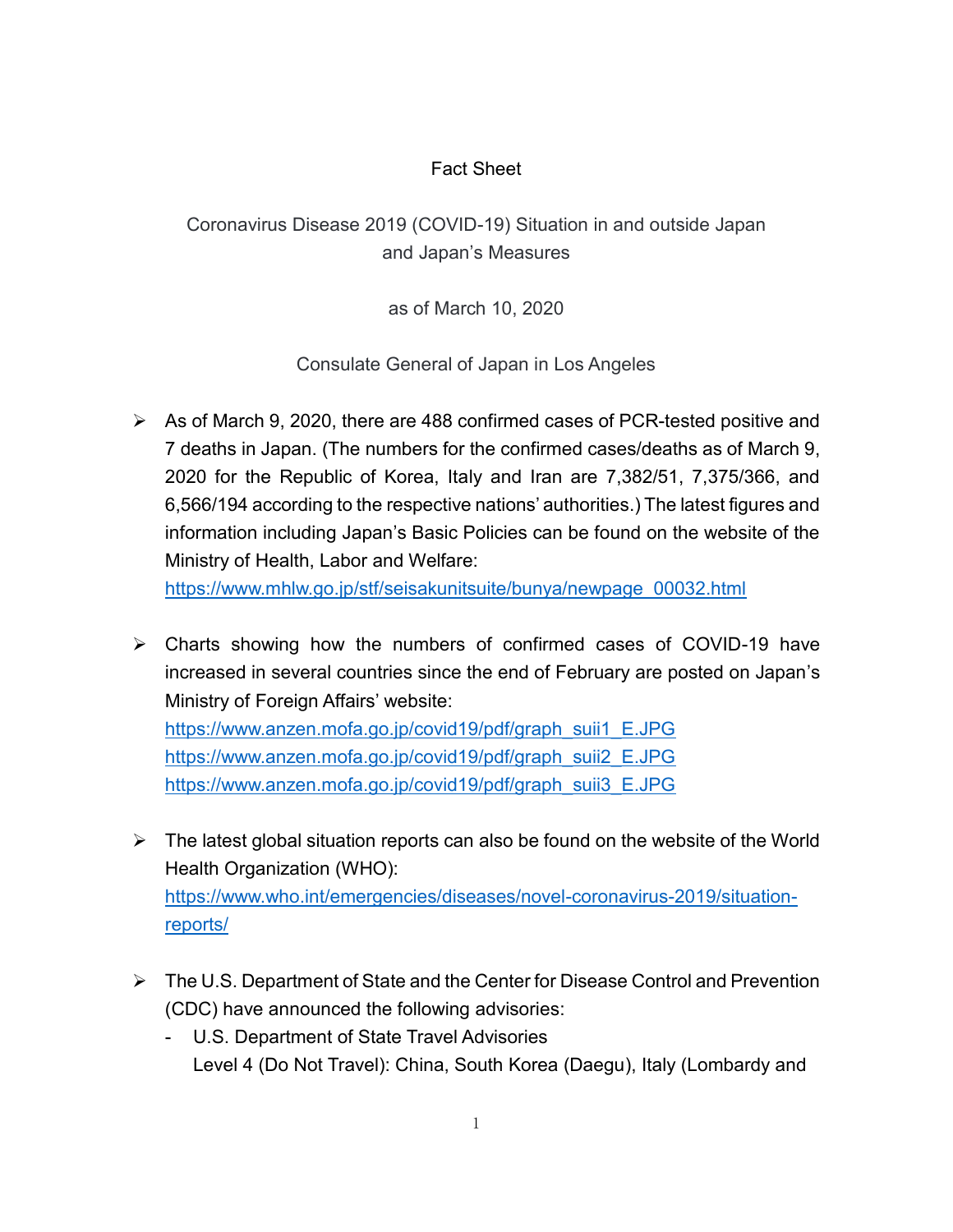## Fact Sheet

Coronavirus Disease 2019 (COVID-19) Situation in and outside Japan and Japan's Measures

as of March 10, 2020

Consulate General of Japan in Los Angeles

 $\triangleright$  As of March 9, 2020, there are 488 confirmed cases of PCR-tested positive and 7 deaths in Japan. (The numbers for the confirmed cases/deaths as of March 9, 2020 for the Republic of Korea, Italy and Iran are 7,382/51, 7,375/366, and 6,566/194 according to the respective nations' authorities.) The latest figures and information including Japan's Basic Policies can be found on the website of the Ministry of Health, Labor and Welfare:

[https://www.mhlw.go.jp/stf/seisakunitsuite/bunya/newpage\\_00032.html](https://www.mhlw.go.jp/stf/seisakunitsuite/bunya/newpage_00032.html)

 Charts showing how the numbers of confirmed cases of COVID-19 have increased in several countries since the end of February are posted on Japan's Ministry of Foreign Affairs' website:

[https://www.anzen.mofa.go.jp/covid19/pdf/graph\\_suii1\\_E.JPG](https://www.anzen.mofa.go.jp/covid19/pdf/graph_suii1_E.JPG) [https://www.anzen.mofa.go.jp/covid19/pdf/graph\\_suii2\\_E.JPG](https://www.anzen.mofa.go.jp/covid19/pdf/graph_suii2_E.JPG) [https://www.anzen.mofa.go.jp/covid19/pdf/graph\\_suii3\\_E.JPG](https://www.anzen.mofa.go.jp/covid19/pdf/graph_suii3_E.JPG)

- $\triangleright$  The latest global situation reports can also be found on the website of the World Health Organization (WHO): [https://www.who.int/emergencies/diseases/novel-coronavirus-2019/situation](https://www.who.int/emergencies/diseases/novel-coronavirus-2019/situation-reports/)[reports/](https://www.who.int/emergencies/diseases/novel-coronavirus-2019/situation-reports/)
- $\triangleright$  The U.S. Department of State and the Center for Disease Control and Prevention (CDC) have announced the following advisories:
	- U.S. Department of State Travel Advisories Level 4 (Do Not Travel): China, South Korea (Daegu), Italy (Lombardy and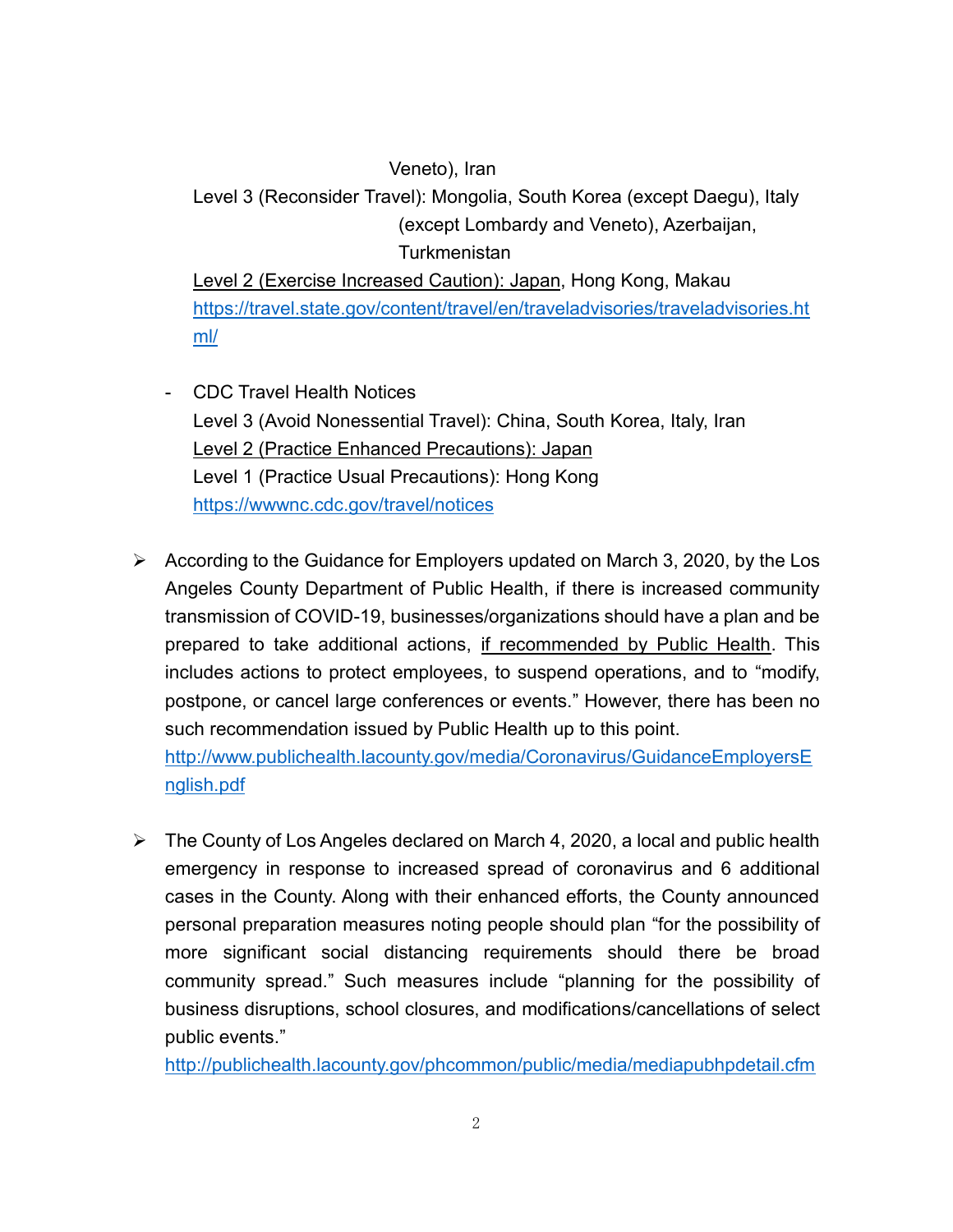## Veneto), Iran

Level 3 (Reconsider Travel): Mongolia, South Korea (except Daegu), Italy (except Lombardy and Veneto), Azerbaijan, **Turkmenistan** 

Level 2 (Exercise Increased Caution): Japan, Hong Kong, Makau [https://travel.state.gov/content/travel/en/traveladvisories/traveladvisories.ht](https://travel.state.gov/content/travel/en/traveladvisories/traveladvisories.html/) [ml/](https://travel.state.gov/content/travel/en/traveladvisories/traveladvisories.html/)

- CDC Travel Health Notices Level 3 (Avoid Nonessential Travel): China, South Korea, Italy, Iran Level 2 (Practice Enhanced Precautions): Japan Level 1 (Practice Usual Precautions): Hong Kong <https://wwwnc.cdc.gov/travel/notices>
- $\triangleright$  According to the Guidance for Employers updated on March 3, 2020, by the Los Angeles County Department of Public Health, if there is increased community transmission of COVID-19, businesses/organizations should have a plan and be prepared to take additional actions, if recommended by Public Health. This includes actions to protect employees, to suspend operations, and to "modify, postpone, or cancel large conferences or events." However, there has been no such recommendation issued by Public Health up to this point.

[http://www.publichealth.lacounty.gov/media/Coronavirus/GuidanceEmployersE](http://www.publichealth.lacounty.gov/media/Coronavirus/GuidanceEmployersEnglish.pdf) [nglish.pdf](http://www.publichealth.lacounty.gov/media/Coronavirus/GuidanceEmployersEnglish.pdf)

 $\triangleright$  The County of Los Angeles declared on March 4, 2020, a local and public health emergency in response to increased spread of coronavirus and 6 additional cases in the County. Along with their enhanced efforts, the County announced personal preparation measures noting people should plan "for the possibility of more significant social distancing requirements should there be broad community spread." Such measures include "planning for the possibility of business disruptions, school closures, and modifications/cancellations of select public events."

[http://publichealth.lacounty.gov/phcommon/public/media/mediapubhpdetail.cfm](http://publichealth.lacounty.gov/phcommon/public/media/mediapubhpdetail.cfm?prid=2248)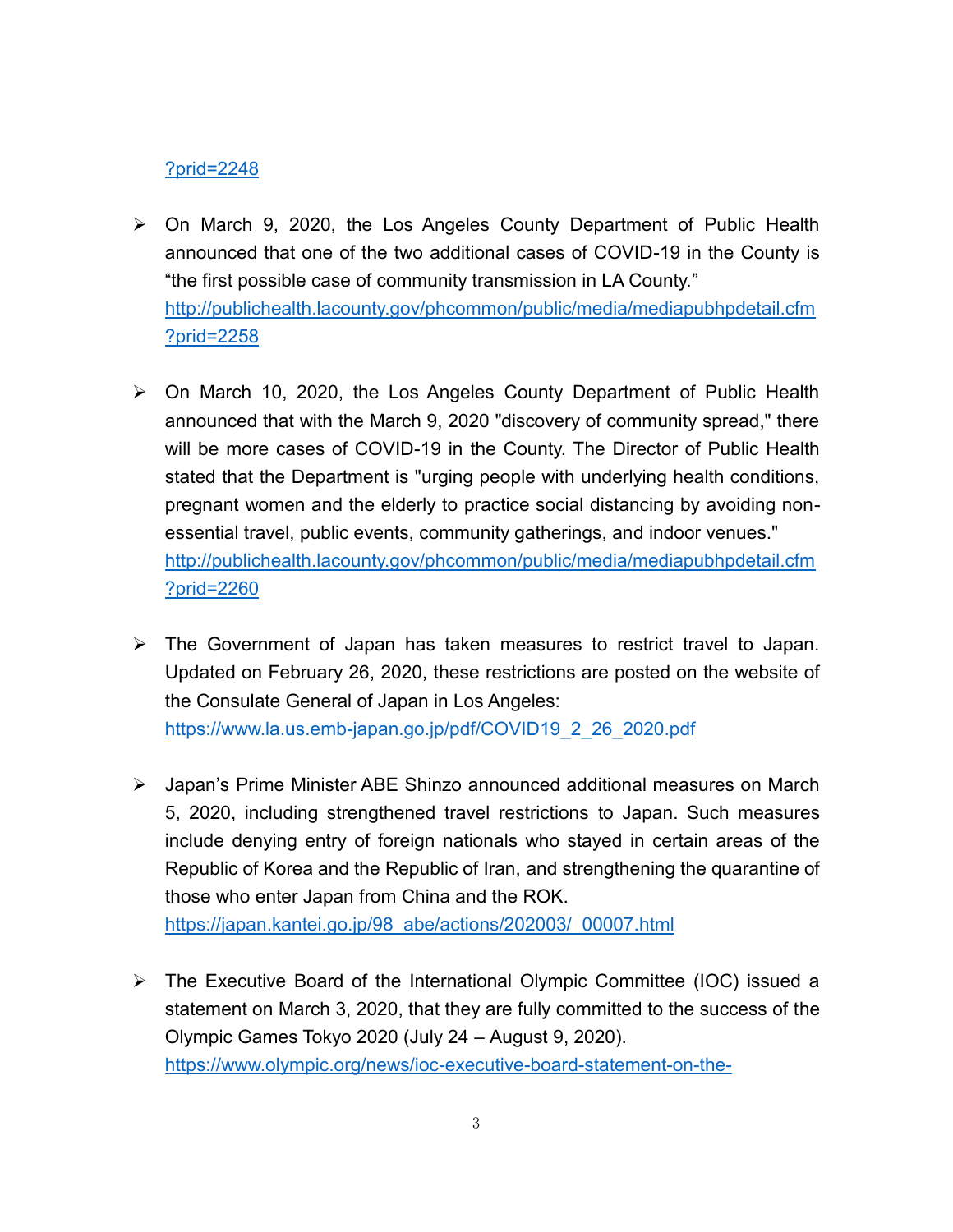## [?prid=2248](http://publichealth.lacounty.gov/phcommon/public/media/mediapubhpdetail.cfm?prid=2248)

- On March 9, 2020, the Los Angeles County Department of Public Health announced that one of the two additional cases of COVID-19 in the County is "the first possible case of community transmission in LA County." [http://publichealth.lacounty.gov/phcommon/public/media/mediapubhpdetail.cfm](http://publichealth.lacounty.gov/phcommon/public/media/mediapubhpdetail.cfm?prid=2258) [?prid=2258](http://publichealth.lacounty.gov/phcommon/public/media/mediapubhpdetail.cfm?prid=2258)
- On March 10, 2020, the Los Angeles County Department of Public Health announced that with the March 9, 2020 "discovery of community spread," there will be more cases of COVID-19 in the County. The Director of Public Health stated that the Department is "urging people with underlying health conditions, pregnant women and the elderly to practice social distancing by avoiding nonessential travel, public events, community gatherings, and indoor venues." [http://publichealth.lacounty.gov/phcommon/public/media/mediapubhpdetail.cfm](http://publichealth.lacounty.gov/phcommon/public/media/mediapubhpdetail.cfm?prid=2260) [?prid=2260](http://publichealth.lacounty.gov/phcommon/public/media/mediapubhpdetail.cfm?prid=2260)
- > The Government of Japan has taken measures to restrict travel to Japan. Updated on February 26, 2020, these restrictions are posted on the website of the Consulate General of Japan in Los Angeles: [https://www.la.us.emb-japan.go.jp/pdf/COVID19\\_2\\_26\\_2020.pdf](https://www.la.us.emb-japan.go.jp/pdf/COVID19_2_26_2020.pdf)
- Japan's Prime Minister ABE Shinzo announced additional measures on March 5, 2020, including strengthened travel restrictions to Japan. Such measures include denying entry of foreign nationals who stayed in certain areas of the Republic of Korea and the Republic of Iran, and strengthening the quarantine of those who enter Japan from China and the ROK. [https://japan.kantei.go.jp/98\\_abe/actions/202003/\\_00007.html](https://japan.kantei.go.jp/98_abe/actions/202003/_00007.html)
- The Executive Board of the International Olympic Committee (IOC) issued a statement on March 3, 2020, that they are fully committed to the success of the Olympic Games Tokyo 2020 (July 24 – August 9, 2020). [https://www.olympic.org/news/ioc-executive-board-statement-on-the-](https://www.olympic.org/news/ioc-executive-board-statement-on-the-coronavirus-covid-19-and-the-olympic-games-tokyo-2020)